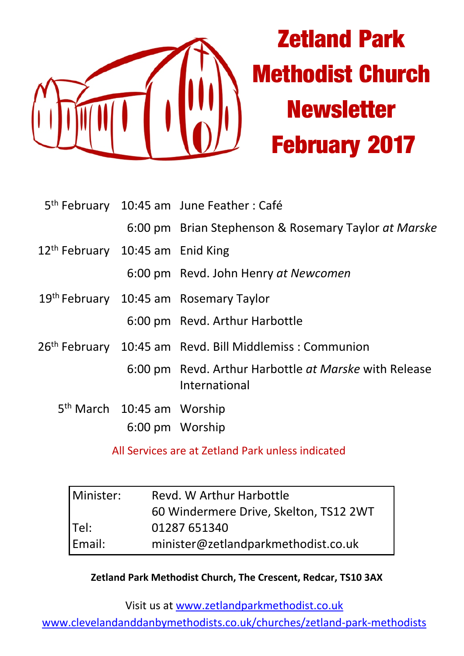

|                                              |                                        | 5 <sup>th</sup> February 10:45 am June Feather : Café                  |  |  |
|----------------------------------------------|----------------------------------------|------------------------------------------------------------------------|--|--|
|                                              |                                        | 6:00 pm Brian Stephenson & Rosemary Taylor at Marske                   |  |  |
| 12 <sup>th</sup> February 10:45 am Enid King |                                        |                                                                        |  |  |
|                                              |                                        | 6:00 pm Revd. John Henry at Newcomen                                   |  |  |
|                                              |                                        | 19th February 10:45 am Rosemary Taylor                                 |  |  |
|                                              |                                        | 6:00 pm Revd. Arthur Harbottle                                         |  |  |
|                                              |                                        | 26 <sup>th</sup> February 10:45 am Revd. Bill Middlemiss : Communion   |  |  |
|                                              |                                        | 6:00 pm Revd. Arthur Harbottle at Marske with Release<br>International |  |  |
|                                              | 5 <sup>th</sup> March 10:45 am Worship |                                                                        |  |  |
|                                              |                                        | 6:00 pm Worship                                                        |  |  |

All Services are at Zetland Park unless indicated

| Minister: | Revd. W Arthur Harbottle               |  |
|-----------|----------------------------------------|--|
|           | 60 Windermere Drive, Skelton, TS12 2WT |  |
| Tel:      | 01287 651340                           |  |
| Email:    | minister@zetlandparkmethodist.co.uk    |  |

**Zetland Park Methodist Church, The Crescent, Redcar, TS10 3AX**

Visit us at www.zetlandparkmethodist.co.uk

www.clevelandanddanbymethodists.co.uk/churches/zetland-park-methodists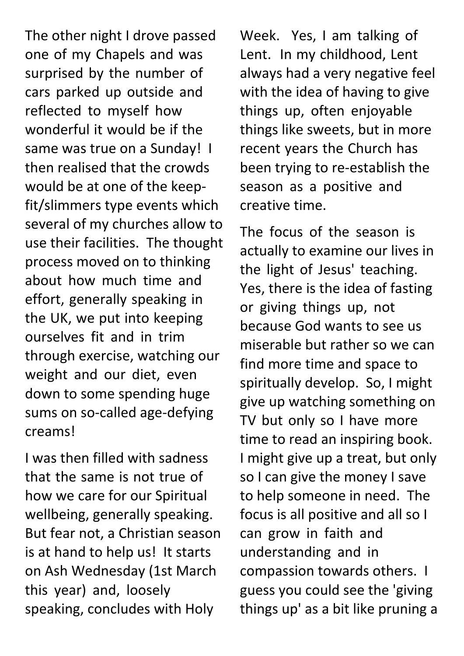The other night I drove passed one of my Chapels and was surprised by the number of cars parked up outside and reflected to myself how wonderful it would be if the same was true on a Sunday! I then realised that the crowds would be at one of the keepfit/slimmers type events which several of my churches allow to use their facilities. The thought process moved on to thinking about how much time and effort, generally speaking in the UK, we put into keeping ourselves fit and in trim through exercise, watching our weight and our diet, even down to some spending huge sums on so-called age-defying creams!

I was then filled with sadness that the same is not true of how we care for our Spiritual wellbeing, generally speaking. But fear not, a Christian season is at hand to help us! It starts on Ash Wednesday (1st March this year) and, loosely speaking, concludes with Holy

Week. Yes, I am talking of Lent. In my childhood, Lent always had a very negative feel with the idea of having to give things up, often enjoyable things like sweets, but in more recent years the Church has been trying to re-establish the season as a positive and creative time.

The focus of the season is actually to examine our lives in the light of Jesus' teaching. Yes, there is the idea of fasting or giving things up, not because God wants to see us miserable but rather so we can find more time and space to spiritually develop. So, I might give up watching something on TV but only so I have more time to read an inspiring book. I might give up a treat, but only so I can give the money I save to help someone in need. The focus is all positive and all so I can grow in faith and understanding and in compassion towards others. I guess you could see the 'giving things up' as a bit like pruning a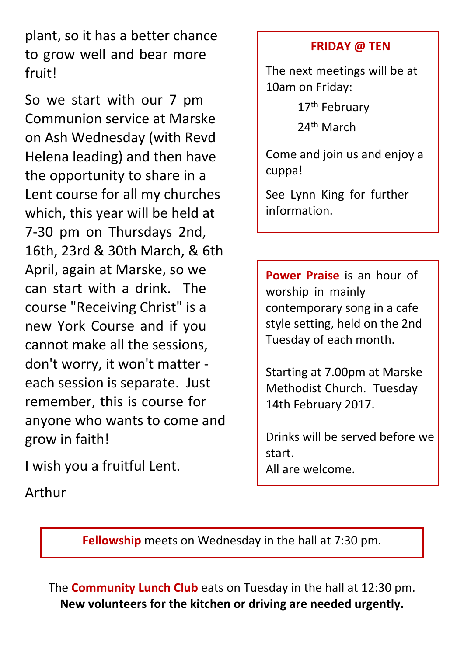plant, so it has a better chance to grow well and bear more fruit!

So we start with our 7 pm Communion service at Marske on Ash Wednesday (with Revd Helena leading) and then have the opportunity to share in a Lent course for all my churches which, this year will be held at 7-30 pm on Thursdays 2nd, 16th, 23rd & 30th March, & 6th April, again at Marske, so we can start with a drink. The course "Receiving Christ" is a new York Course and if you cannot make all the sessions, don't worry, it won't matter each session is separate. Just remember, this is course for anyone who wants to come and grow in faith!

I wish you a fruitful Lent.

Arthur

## **FRIDAY @ TEN**

The next meetings will be at 10am on Friday:

17<sup>th</sup> February

24th March

Come and join us and enjoy a cuppa!

See Lynn King for further information.

**Power Praise** is an hour of worship in mainly contemporary song in a cafe style setting, held on the 2nd Tuesday of each month.

Starting at 7.00pm at Marske Methodist Church. Tuesday 14th February 2017.

Drinks will be served before we start. All are welcome.

**Fellowship** meets on Wednesday in the hall at 7:30 pm.

The **Community Lunch Club** eats on Tuesday in the hall at 12:30 pm. **New volunteers for the kitchen or driving are needed urgently.**